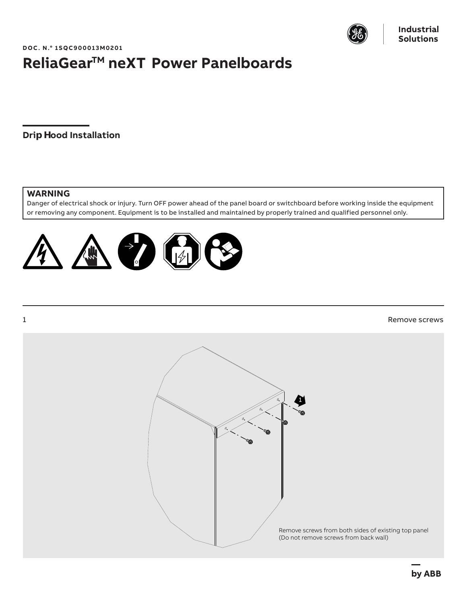

**DOC. N.° 1SQC900013M0201**

## **ReliaGear<sup>™</sup> neXT Power Panelboards**

**Drip Hood Installation**

## **WARNING**

Danger of electrical shock or injury. Turn OFF power ahead of the panel board or switchboard before working inside the equipment or removing any component. Equipment is to be installed and maintained by properly trained and qualified personnel only.



## **1** Remove screws